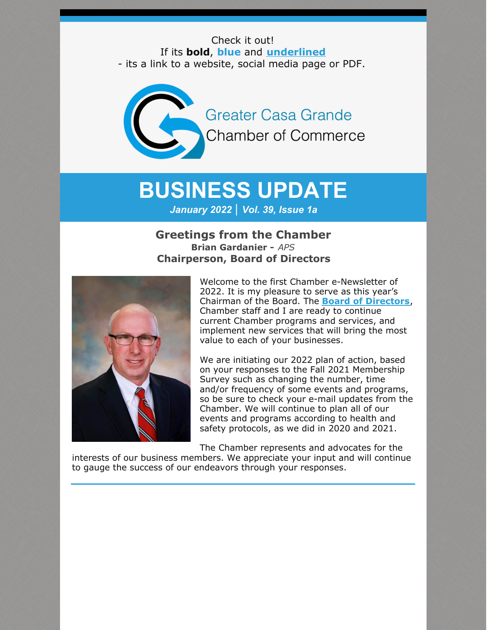Check it out! If its **bold**, **blue** and **underlined** - its a link to a website, social media page or PDF.

**Greater Casa Grande Chamber of Commerce** 

# **BUSINESS UPDATE**

*January 2022 | Vol. 39, Issue 1a*

### **Greetings from the Chamber Brian Gardanier -** *APS* **Chairperson, Board of Directors**



Welcome to the first Chamber e-Newsletter of 2022. It is my pleasure to serve as this year's Chairman of the Board. The **Board of [Directors](https://casagrandechamber.org/board-of-directors/)**, Chamber staff and I are ready to continue current Chamber programs and services, and implement new services that will bring the most value to each of your businesses.

We are initiating our 2022 plan of action, based on your responses to the Fall 2021 Membership Survey such as changing the number, time and/or frequency of some events and programs, so be sure to check your e-mail updates from the Chamber. We will continue to plan all of our events and programs according to health and safety protocols, as we did in 2020 and 2021.

The Chamber represents and advocates for the interests of our business members. We appreciate your input and will continue to gauge the success of our endeavors through your responses.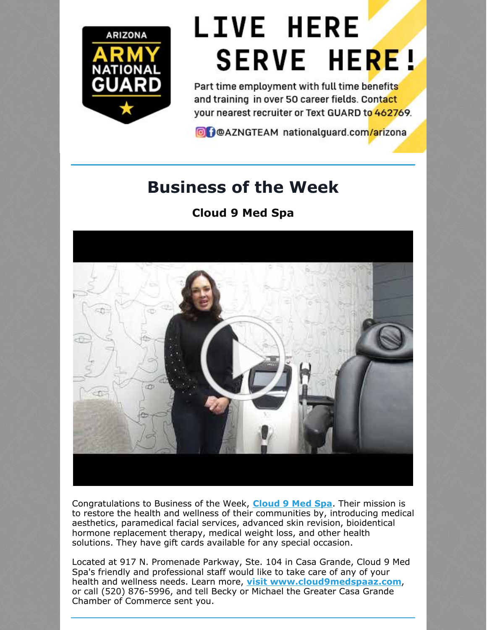

# **LIVE HERE SERVE HERE!**

Part time employment with full time benefits and training in over 50 career fields. Contact your nearest recruiter or Text GUARD to 462769.

O DOAZNGTEAM nationalguard.com/arizona

# **Business of the Week**

## **Cloud 9 Med Spa**



Congratulations to Business of the Week, **[Cloud](http://www.cloud9medspaaz.com/) 9 Med Spa**. Their mission is to restore the health and wellness of their communities by, introducing medical aesthetics, paramedical facial services, advanced skin revision, bioidentical hormone replacement therapy, medical weight loss, and other health solutions. They have gift cards available for any special occasion.

Located at 917 N. Promenade Parkway, Ste. 104 in Casa Grande, Cloud 9 Med Spa's friendly and professional staff would like to take care of any of your health and wellness needs. Learn more, **visit [www.cloud9medspaaz.com](http://www.cloud9medspaaz.com)**, or call (520) 876-5996, and tell Becky or Michael the Greater Casa Grande Chamber of Commerce sent you.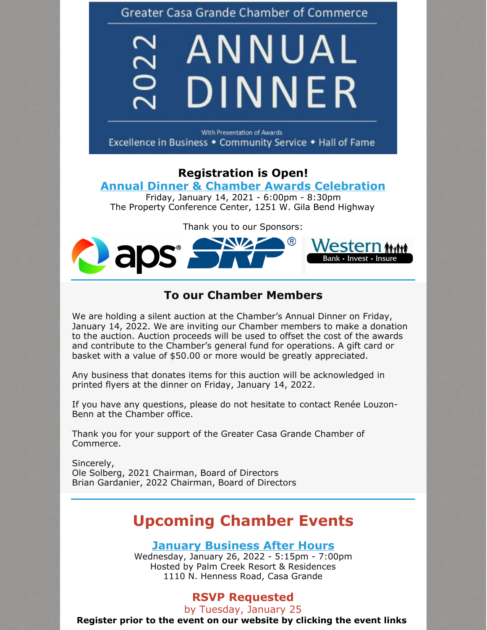**Greater Casa Grande Chamber of Commerce** 

# $22$ ANNUAL DINNER

With Presentation of Awards Excellence in Business • Community Service • Hall of Fame

## **Registration is Open!**

### **Annual Dinner & Chamber Awards [Celebration](https://cca.casagrandechamber.org/EvtListing.aspx?dbid2=AZCAGR&evtid=27802&class=E)**

Friday, January 14, 2021 - 6:00pm - 8:30pm The Property Conference Center, 1251 W. Gila Bend Highway

Thank you to our Sponsors:



### **To our Chamber Members**

We are holding a silent auction at the Chamber's Annual Dinner on Friday, January 14, 2022. We are inviting our Chamber members to make a donation to the auction. Auction proceeds will be used to offset the cost of the awards and contribute to the Chamber's general fund for operations. A gift card or basket with a value of \$50.00 or more would be greatly appreciated.

Any business that donates items for this auction will be acknowledged in printed flyers at the dinner on Friday, January 14, 2022.

If you have any questions, please do not hesitate to contact Renée Louzon-Benn at the Chamber office.

Thank you for your support of the Greater Casa Grande Chamber of Commerce.

Sincerely, Ole Solberg, 2021 Chairman, Board of Directors Brian Gardanier, 2022 Chairman, Board of Directors

# **Upcoming Chamber Events**

**January [Business](https://cca.casagrandechamber.org/EvtListing.aspx?dbid2=AZCAGR&evtid=28059&class=E) After Hours**

Wednesday, January 26, 2022 - 5:15pm - 7:00pm Hosted by Palm Creek Resort & Residences 1110 N. Henness Road, Casa Grande

## **RSVP Requested**

by Tuesday, January 25

**Register prior to the event on our website by clicking the event links**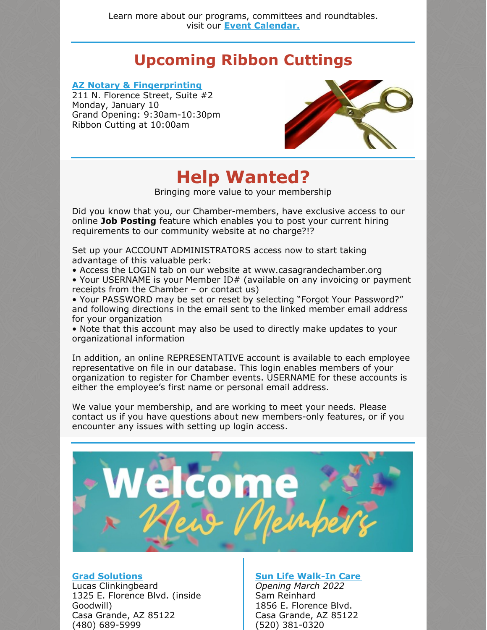# **Upcoming Ribbon Cuttings**

### **AZ Notary & [Fingerprinting](https://aznotaryandfingerprinting.com/)**

211 N. Florence Street, Suite #2 Monday, January 10 Grand Opening: 9:30am-10:30pm Ribbon Cutting at 10:00am



# **Help Wanted?**

Bringing more value to your membership

Did you know that you, our Chamber-members, have exclusive access to our online **Job Posting** feature which enables you to post your current hiring requirements to our community website at no charge?!?

Set up your ACCOUNT ADMINISTRATORS access now to start taking advantage of this valuable perk:

• Access the LOGIN tab on our website at www.casagrandechamber.org

• Your USERNAME is your Member ID# (available on any invoicing or payment receipts from the Chamber – or contact us)

• Your PASSWORD may be set or reset by selecting "Forgot Your Password?" and following directions in the email sent to the linked member email address for your organization

• Note that this account may also be used to directly make updates to your organizational information

In addition, an online REPRESENTATIVE account is available to each employee representative on file in our database. This login enables members of your organization to register for Chamber events. USERNAME for these accounts is either the employee's first name or personal email address.

We value your membership, and are working to meet your needs. Please contact us if you have questions about new members-only features, or if you encounter any issues with setting up login access.



### **Grad [Solutions](http://www.iwantmydiploma.com)**

Lucas Clinkingbeard 1325 E. Florence Blvd. (inside Goodwill) Casa Grande, AZ 85122 (480) 689-5999

### **Sun Life [Walk-In](http://www.slfhc.org) Care**

*Opening March 2022* Sam Reinhard 1856 E. Florence Blvd. Casa Grande, AZ 85122 (520) 381-0320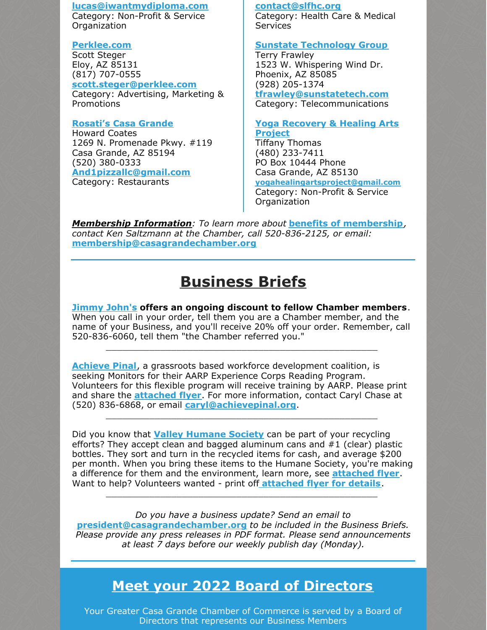### **[lucas@iwantmydiploma.com](mailto:lucas@iwantmydiploma.com)**

Category: Non-Profit & Service Organization

### **[Perklee.com](http://www.perklee.com)**

Scott Steger Eloy, AZ 85131 (817) 707-0555 **[scott.steger@perklee.com](http://scott.steger@perklee.com)** Category: Advertising, Marketing & Promotions

### **[Rosati's](http://www.myrosatis.com/casa-grande) Casa Grande**

Howard Coates 1269 N. Promenade Pkwy. #119 Casa Grande, AZ 85194 (520) 380-0333 **[And1pizzallc@gmail.com](http://And1pizzallc@gmail.com)** Category: Restaurants

### **[contact@slfhc.org](mailto:contact@slfhc.org)**

Category: Health Care & Medical **Services** 

### **Sunstate [Technology](http://www.sunstatetech.com) Group**

Terry Frawley 1523 W. Whispering Wind Dr. Phoenix, AZ 85085 (928) 205-1374 **[tfrawley@sunstatetech.com](mailto:tfrawley@sunstatetech.com)**

Category: Telecommunications

### **Yoga [Recovery](http://www.yogahealingartsproject.org) & Healing Arts Project**

Tiffany Thomas (480) 233-7411 PO Box 10444 Phone Casa Grande, AZ 85130 **[yogahealingartsproject@gmail.com](mailto:yogahealingartsproject@gmail.com)** Category: Non-Profit & Service Organization

*Membership Information: To learn more about* **benefits of [membership](https://casagrandechamber.org/member-benefits/)***, contact Ken Saltzmann at the Chamber, call 520-836-2125, or email:* **[membership@casagrandechamber.or](mailto:membership@casagrandechamber.org)g**

# **Business Briefs**

**[Jimmy](http://www.jimmyjohns.com/) John's offers an ongoing discount to fellow Chamber members**. When you call in your order, tell them you are a Chamber member, and the name of your Business, and you'll receive 20% off your order. Remember, call 520-836-6060, tell them "the Chamber referred you."

\_\_\_\_\_\_\_\_\_\_\_\_\_\_\_\_\_\_\_\_\_\_\_\_\_\_\_\_\_\_\_\_\_\_\_\_\_\_\_\_\_\_\_\_\_\_\_\_\_\_

**[Achieve](http://www.achievepinal.org) Pinal**, a grassroots based workforce development coalition, is seeking Monitors for their AARP Experience Corps Reading Program. Volunteers for this flexible program will receive training by AARP. Please print and share the **[attached](https://files.constantcontact.com/8c5f2f7b701/4c59f3e0-c539-464c-b278-00d452eed498.pdf) flyer**. For more information, contact Caryl Chase at (520) 836-6868, or email **[caryl@achievepinal.org](mailto:caryl@achievepinal.org)**.

\_\_\_\_\_\_\_\_\_\_\_\_\_\_\_\_\_\_\_\_\_\_\_\_\_\_\_\_\_\_\_\_\_\_\_\_\_\_\_\_\_\_\_\_\_\_\_\_\_\_

Did you know that **Valley [Humane](http://www.valleyhumane.net) Society** can be part of your recycling efforts? They accept clean and bagged aluminum cans and #1 (clear) plastic bottles. They sort and turn in the recycled items for cash, and average \$200 per month. When you bring these items to the Humane Society, you're making a difference for them and the environment, learn more, see **[attached](https://files.constantcontact.com/8c5f2f7b701/4b3eaea4-ae55-420d-b2da-0d6f5c3bf0b5.pdf) flyer**. Want to help? Volunteers wanted - print off **[attached](https://files.constantcontact.com/8c5f2f7b701/79ed87ef-a2e5-477c-aac0-448569a07fdd.pdf) flyer for details**.

\_\_\_\_\_\_\_\_\_\_\_\_\_\_\_\_\_\_\_\_\_\_\_\_\_\_\_\_\_\_\_\_\_\_\_\_\_\_\_\_\_\_\_\_\_\_\_\_\_\_

*Do you have a business update? Send an email to* **president@casagrandechamber.org** *to be included in the Business Briefs. Please provide any press releases in PDF format. Please send announcements at least 7 days before our weekly publish day (Monday).*

## **Meet your 2022 Board of [Directors](https://casagrandechamber.org/board-of-directors/)**

Your Greater Casa Grande Chamber of Commerce is served by a Board of Directors that represents our Business Members